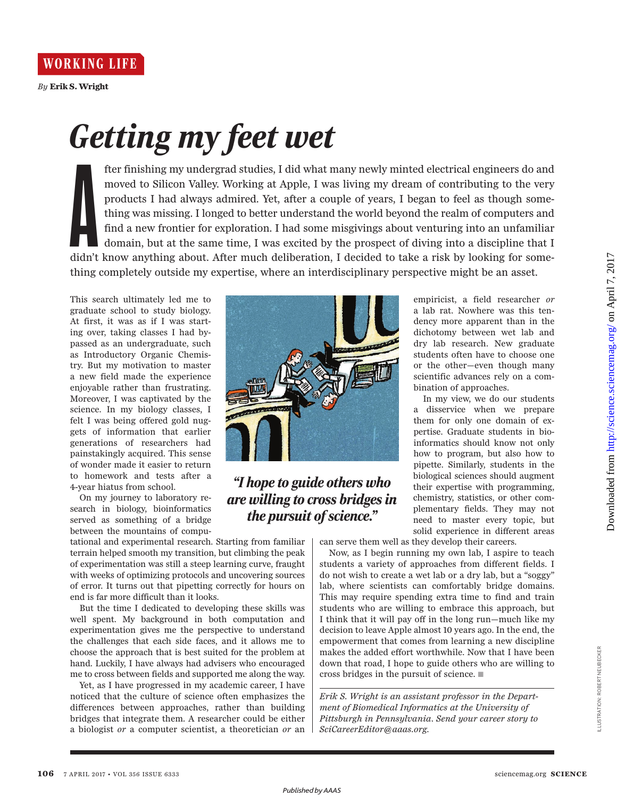

**WORKING LIFE** 

*By* **Erik S. Wright**

## *Getting my feet wet*

didn't fter finishing my undergrad studies, I did what many newly minted electrical engineers do and moved to Silicon Valley. Working at Apple, I was living my dream of contributing to the very products I had always admired. Yet, after a couple of years, I began to feel as though something was missing. I longed to better understand the world beyond the realm of computers and find a new frontier for exploration. I had some misgivings about venturing into an unfamiliar domain, but at the same time, I was excited by the prospect of diving into a discipline that I didn't know anything about. After much deliberation, I decided to take a risk by looking for something completely outside my expertise, where an interdisciplinary perspective might be an asset.

This search ultimately led me to graduate school to study biology. At first, it was as if I was starting over, taking classes I had bypassed as an undergraduate, such as Introductory Organic Chemistry. But my motivation to master a new field made the experience enjoyable rather than frustrating. Moreover, I was captivated by the science. In my biology classes, I felt I was being offered gold nuggets of information that earlier generations of researchers had painstakingly acquired. This sense of wonder made it easier to return to homework and tests after a 4-year hiatus from school.

On my journey to laboratory research in biology, bioinformatics served as something of a bridge between the mountains of compu-

tational and experimental research. Starting from familiar terrain helped smooth my transition, but climbing the peak of experimentation was still a steep learning curve, fraught with weeks of optimizing protocols and uncovering sources of error. It turns out that pipetting correctly for hours on end is far more difficult than it looks.

But the time I dedicated to developing these skills was well spent. My background in both computation and experimentation gives me the perspective to understand the challenges that each side faces, and it allows me to choose the approach that is best suited for the problem at hand. Luckily, I have always had advisers who encouraged me to cross between fields and supported me along the way.

Yet, as I have progressed in my academic career, I have noticed that the culture of science often emphasizes the differences between approaches, rather than building bridges that integrate them. A researcher could be either a biologist *or* a computer scientist, a theoretician *or* an



## *"I hope to guide others who are willing to cross bridges in the pursuit of science."*

can serve them well as they develop their careers.

Now, as I begin running my own lab, I aspire to teach students a variety of approaches from different fields. I do not wish to create a wet lab or a dry lab, but a "soggy" lab, where scientists can comfortably bridge domains. This may require spending extra time to find and train students who are willing to embrace this approach, but I think that it will pay off in the long run—much like my decision to leave Apple almost 10 years ago. In the end, the empowerment that comes from learning a new discipline makes the added effort worthwhile. Now that I have been down that road, I hope to guide others who are willing to cross bridges in the pursuit of science. ■

*Erik S. Wright is an assistant professor in the Department of Biomedical Informatics at the University of Pittsburgh in Pennsylvania. Send your career story to SciCareerEditor@aaas.org.* 

empiricist, a field researcher *or* a lab rat. Nowhere was this tendency more apparent than in the dichotomy between wet lab and dry lab research. New graduate students often have to choose one or the other—even though many scientific advances rely on a combination of approaches.

In my view, we do our students a disservice when we prepare them for only one domain of expertise. Graduate students in bioinformatics should know not only how to program, but also how to pipette. Similarly, students in the biological sciences should augment their expertise with programming, chemistry, statistics, or other complementary fields. They may not need to master every topic, but solid experience in different areas

**106** 7 APRIL 2017 • VOL 356 ISSUE 6333